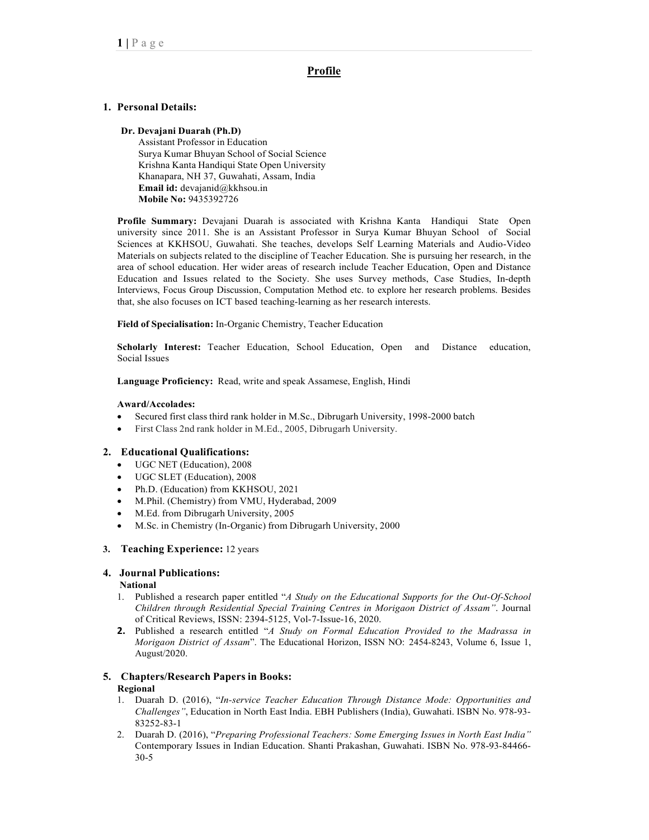# Profile

## 1. Personal Details:

#### Dr. Devajani Duarah (Ph.D)

Assistant Professor in Education Surya Kumar Bhuyan School of Social Science Krishna Kanta Handiqui State Open University Khanapara, NH 37, Guwahati, Assam, India Email id: devajanid@kkhsou.in Mobile No: 9435392726

Profile Summary: Devajani Duarah is associated with Krishna Kanta Handiqui State Open university since 2011. She is an Assistant Professor in Surya Kumar Bhuyan School of Social Sciences at KKHSOU, Guwahati. She teaches, develops Self Learning Materials and Audio-Video Materials on subjects related to the discipline of Teacher Education. She is pursuing her research, in the area of school education. Her wider areas of research include Teacher Education, Open and Distance Education and Issues related to the Society. She uses Survey methods, Case Studies, In-depth Interviews, Focus Group Discussion, Computation Method etc. to explore her research problems. Besides that, she also focuses on ICT based teaching-learning as her research interests.

## Field of Specialisation: In-Organic Chemistry, Teacher Education

Scholarly Interest: Teacher Education, School Education, Open and Distance education, Social Issues

Language Proficiency: Read, write and speak Assamese, English, Hindi

## Award/Accolades:

- Secured first class third rank holder in M.Sc., Dibrugarh University, 1998-2000 batch
- First Class 2nd rank holder in M.Ed., 2005, Dibrugarh University.

## 2. Educational Qualifications:

- UGC NET (Education), 2008
- UGC SLET (Education), 2008
- Ph.D. (Education) from KKHSOU, 2021
- M.Phil. (Chemistry) from VMU, Hyderabad, 2009
- M.Ed. from Dibrugarh University, 2005
- M.Sc. in Chemistry (In-Organic) from Dibrugarh University, 2000

## 3. Teaching Experience: 12 years

## 4. Journal Publications:

#### National

- 1. Published a research paper entitled "A Study on the Educational Supports for the Out-Of-School Children through Residential Special Training Centres in Morigaon District of Assam". Journal of Critical Reviews, ISSN: 2394-5125, Vol-7-Issue-16, 2020.
- **2.** Published a research entitled "A Study on Formal Education Provided to the Madrassa in Morigaon District of Assam". The Educational Horizon, ISSN NO: 2454-8243, Volume 6, Issue 1, August/2020.

# 5. Chapters/Research Papers in Books:

## Regional

- 1. Duarah D. (2016), "In-service Teacher Education Through Distance Mode: Opportunities and Challenges", Education in North East India. EBH Publishers (India), Guwahati. ISBN No. 978-93- 83252-83-1
- 2. Duarah D. (2016), "Preparing Professional Teachers: Some Emerging Issues in North East India" Contemporary Issues in Indian Education. Shanti Prakashan, Guwahati. ISBN No. 978-93-84466- 30-5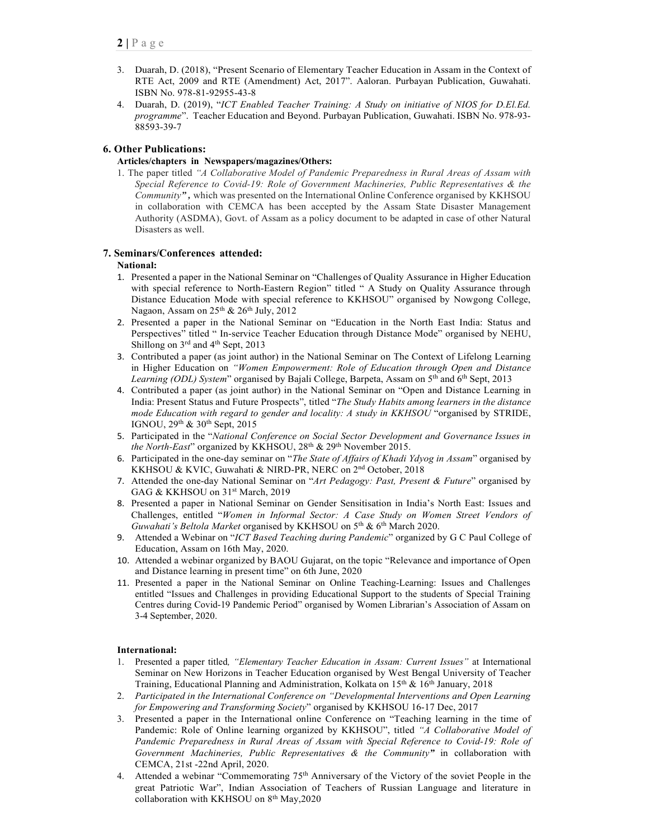- 3. Duarah, D. (2018), "Present Scenario of Elementary Teacher Education in Assam in the Context of RTE Act, 2009 and RTE (Amendment) Act, 2017". Aaloran. Purbayan Publication, Guwahati. ISBN No. 978-81-92955-43-8
- 4. Duarah, D. (2019), "ICT Enabled Teacher Training: A Study on initiative of NIOS for D.El.Ed. programme". Teacher Education and Beyond. Purbayan Publication, Guwahati. ISBN No. 978-93- 88593-39-7

# 6. Other Publications:

## Articles/chapters in Newspapers/magazines/Others:

1. The paper titled "A Collaborative Model of Pandemic Preparedness in Rural Areas of Assam with Special Reference to Covid-19: Role of Government Machineries, Public Representatives & the Community", which was presented on the International Online Conference organised by KKHSOU in collaboration with CEMCA has been accepted by the Assam State Disaster Management Authority (ASDMA), Govt. of Assam as a policy document to be adapted in case of other Natural Disasters as well.

## 7. Seminars/Conferences attended:

## National:

- 1. Presented a paper in the National Seminar on "Challenges of Quality Assurance in Higher Education with special reference to North-Eastern Region" titled " A Study on Quality Assurance through Distance Education Mode with special reference to KKHSOU" organised by Nowgong College, Nagaon, Assam on  $25<sup>th</sup>$  &  $26<sup>th</sup>$  July,  $2012$
- 2. Presented a paper in the National Seminar on "Education in the North East India: Status and Perspectives" titled " In-service Teacher Education through Distance Mode" organised by NEHU, Shillong on 3rd and 4<sup>th</sup> Sept, 2013
- 3. Contributed a paper (as joint author) in the National Seminar on The Context of Lifelong Learning in Higher Education on "Women Empowerment: Role of Education through Open and Distance Learning (ODL) System" organised by Bajali College, Barpeta, Assam on 5<sup>th</sup> and 6<sup>th</sup> Sept, 2013
- 4. Contributed a paper (as joint author) in the National Seminar on "Open and Distance Learning in India: Present Status and Future Prospects", titled "The Study Habits among learners in the distance mode Education with regard to gender and locality: A study in KKHSOU "organised by STRIDE, IGNOU, 29th & 30th Sept, 2015
- 5. Participated in the "National Conference on Social Sector Development and Governance Issues in the North-East" organized by KKHSOU,  $28<sup>th</sup>$  &  $29<sup>th</sup>$  November 2015.
- 6. Participated in the one-day seminar on "The State of Affairs of Khadi Ydyog in Assam" organised by KKHSOU & KVIC, Guwahati & NIRD-PR, NERC on 2nd October, 2018
- 7. Attended the one-day National Seminar on "Art Pedagogy: Past, Present & Future" organised by GAG & KKHSOU on 31st March, 2019
- 8. Presented a paper in National Seminar on Gender Sensitisation in India's North East: Issues and Challenges, entitled "Women in Informal Sector: A Case Study on Women Street Vendors of Guwahati's Beltola Market organised by KKHSOU on  $5<sup>th</sup>$  &  $6<sup>th</sup>$  March 2020.
- 9. Attended a Webinar on "ICT Based Teaching during Pandemic" organized by G C Paul College of Education, Assam on 16th May, 2020.
- 10. Attended a webinar organized by BAOU Gujarat, on the topic "Relevance and importance of Open and Distance learning in present time" on 6th June, 2020
- 11. Presented a paper in the National Seminar on Online Teaching-Learning: Issues and Challenges entitled "Issues and Challenges in providing Educational Support to the students of Special Training Centres during Covid-19 Pandemic Period" organised by Women Librarian's Association of Assam on 3-4 September, 2020.

## International:

- 1. Presented a paper titled, "Elementary Teacher Education in Assam: Current Issues" at International Seminar on New Horizons in Teacher Education organised by West Bengal University of Teacher Training, Educational Planning and Administration, Kolkata on 15<sup>th</sup> & 16<sup>th</sup> January, 2018
- 2. Participated in the International Conference on "Developmental Interventions and Open Learning for Empowering and Transforming Society" organised by KKHSOU 16-17 Dec, 2017
- 3. Presented a paper in the International online Conference on "Teaching learning in the time of Pandemic: Role of Online learning organized by KKHSOU", titled "A Collaborative Model of Pandemic Preparedness in Rural Areas of Assam with Special Reference to Covid-19: Role of Government Machineries, Public Representatives & the Community" in collaboration with CEMCA, 21st -22nd April, 2020.
- 4. Attended a webinar "Commemorating 75<sup>th</sup> Anniversary of the Victory of the soviet People in the great Patriotic War", Indian Association of Teachers of Russian Language and literature in collaboration with KKHSOU on 8<sup>th</sup> May, 2020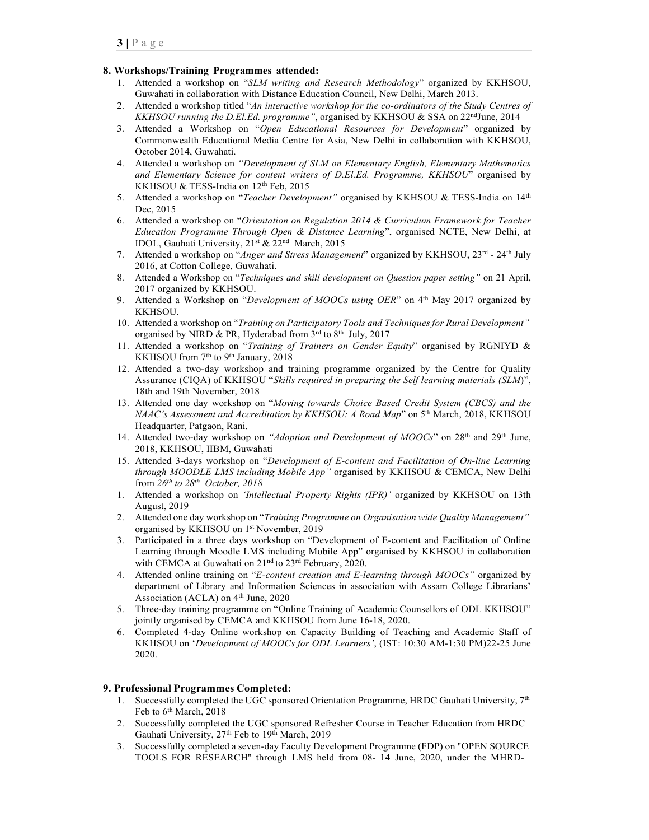## 8. Workshops/Training Programmes attended:

- 1. Attended a workshop on "SLM writing and Research Methodology" organized by KKHSOU, Guwahati in collaboration with Distance Education Council, New Delhi, March 2013.
- 2. Attended a workshop titled "An interactive workshop for the co-ordinators of the Study Centres of KKHSOU running the D.El.Ed. programme", organised by KKHSOU & SSA on 22<sup>nd</sup>June, 2014
- 3. Attended a Workshop on "Open Educational Resources for Development" organized by Commonwealth Educational Media Centre for Asia, New Delhi in collaboration with KKHSOU, October 2014, Guwahati.
- 4. Attended a workshop on "Development of SLM on Elementary English, Elementary Mathematics and Elementary Science for content writers of D.El.Ed. Programme, KKHSOU" organised by KKHSOU & TESS-India on 12<sup>th</sup> Feb, 2015
- 5. Attended a workshop on "Teacher Development" organised by KKHSOU & TESS-India on 14th Dec, 2015
- 6. Attended a workshop on "Orientation on Regulation 2014 & Curriculum Framework for Teacher Education Programme Through Open & Distance Learning", organised NCTE, New Delhi, at IDOL, Gauhati University, 21st & 22nd March, 2015
- 7. Attended a workshop on "Anger and Stress Management" organized by KKHSOU, 23rd 24<sup>th</sup> July 2016, at Cotton College, Guwahati.
- 8. Attended a Workshop on "Techniques and skill development on Question paper setting" on 21 April, 2017 organized by KKHSOU.
- 9. Attended a Workshop on "Development of MOOCs using OER" on  $4<sup>th</sup>$  May 2017 organized by KKHSOU.
- 10. Attended a workshop on "Training on Participatory Tools and Techniques for Rural Development" organised by NIRD & PR, Hyderabad from  $3<sup>rd</sup>$  to  $8<sup>th</sup>$  July, 2017
- 11. Attended a workshop on "Training of Trainers on Gender Equity" organised by RGNIYD & KKHSOU from 7<sup>th</sup> to 9<sup>th</sup> January, 2018
- 12. Attended a two-day workshop and training programme organized by the Centre for Quality Assurance (CIQA) of KKHSOU "Skills required in preparing the Self learning materials (SLM)", 18th and 19th November, 2018
- 13. Attended one day workshop on "Moving towards Choice Based Credit System (CBCS) and the NAAC's Assessment and Accreditation by KKHSOU: A Road Map" on 5<sup>th</sup> March, 2018, KKHSOU Headquarter, Patgaon, Rani.
- 14. Attended two-day workshop on "Adoption and Development of MOOCs" on 28<sup>th</sup> and 29<sup>th</sup> June, 2018, KKHSOU, IIBM, Guwahati
- 15. Attended 3-days workshop on "Development of E-content and Facilitation of On-line Learning through MOODLE LMS including Mobile App" organised by KKHSOU & CEMCA, New Delhi from  $26^{th}$  to  $28^{th}$  October, 2018
- 1. Attended a workshop on 'Intellectual Property Rights (IPR)' organized by KKHSOU on 13th August, 2019
- 2. Attended one day workshop on "Training Programme on Organisation wide Quality Management" organised by KKHSOU on 1<sup>st</sup> November, 2019
- 3. Participated in a three days workshop on "Development of E-content and Facilitation of Online Learning through Moodle LMS including Mobile App" organised by KKHSOU in collaboration with CEMCA at Guwahati on 21<sup>nd</sup> to 23<sup>rd</sup> February, 2020.
- 4. Attended online training on "E-content creation and E-learning through MOOCs" organized by department of Library and Information Sciences in association with Assam College Librarians' Association (ACLA) on  $4<sup>th</sup>$  June, 2020
- 5. Three-day training programme on "Online Training of Academic Counsellors of ODL KKHSOU" jointly organised by CEMCA and KKHSOU from June 16-18, 2020.
- 6. Completed 4-day Online workshop on Capacity Building of Teaching and Academic Staff of KKHSOU on 'Development of MOOCs for ODL Learners', (IST: 10:30 AM-1:30 PM)22-25 June 2020.

## 9. Professional Programmes Completed:

- 1. Successfully completed the UGC sponsored Orientation Programme, HRDC Gauhati University,  $7<sup>th</sup>$ Feb to 6<sup>th</sup> March, 2018
- 2. Successfully completed the UGC sponsored Refresher Course in Teacher Education from HRDC Gauhati University, 27th Feb to 19th March, 2019
- 3. Successfully completed a seven-day Faculty Development Programme (FDP) on "OPEN SOURCE TOOLS FOR RESEARCH" through LMS held from 08- 14 June, 2020, under the MHRD-